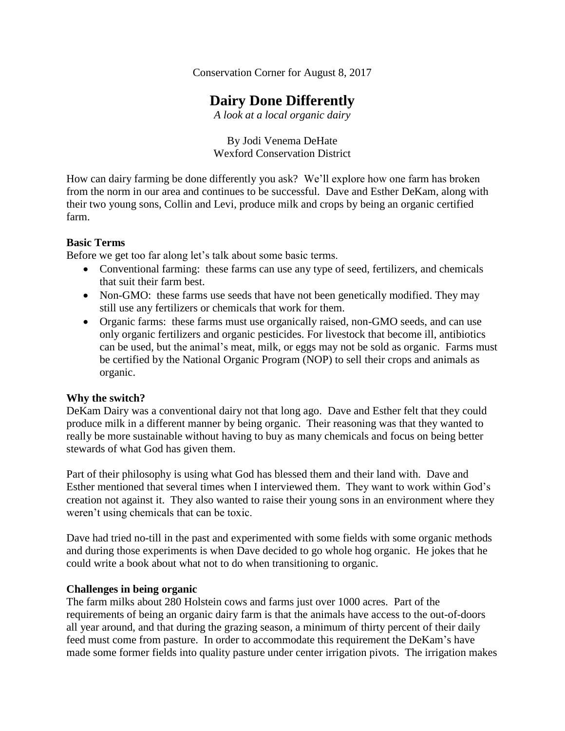Conservation Corner for August 8, 2017

# **Dairy Done Differently**

*A look at a local organic dairy*

By Jodi Venema DeHate Wexford Conservation District

How can dairy farming be done differently you ask? We'll explore how one farm has broken from the norm in our area and continues to be successful. Dave and Esther DeKam, along with their two young sons, Collin and Levi, produce milk and crops by being an organic certified farm.

## **Basic Terms**

Before we get too far along let's talk about some basic terms.

- Conventional farming: these farms can use any type of seed, fertilizers, and chemicals that suit their farm best.
- Non-GMO: these farms use seeds that have not been genetically modified. They may still use any fertilizers or chemicals that work for them.
- Organic farms: these farms must use organically raised, non-GMO seeds, and can use only organic fertilizers and organic pesticides. For livestock that become ill, antibiotics can be used, but the animal's meat, milk, or eggs may not be sold as organic. Farms must be certified by the National Organic Program (NOP) to sell their crops and animals as organic.

## **Why the switch?**

DeKam Dairy was a conventional dairy not that long ago. Dave and Esther felt that they could produce milk in a different manner by being organic. Their reasoning was that they wanted to really be more sustainable without having to buy as many chemicals and focus on being better stewards of what God has given them.

Part of their philosophy is using what God has blessed them and their land with. Dave and Esther mentioned that several times when I interviewed them. They want to work within God's creation not against it. They also wanted to raise their young sons in an environment where they weren't using chemicals that can be toxic.

Dave had tried no-till in the past and experimented with some fields with some organic methods and during those experiments is when Dave decided to go whole hog organic. He jokes that he could write a book about what not to do when transitioning to organic.

## **Challenges in being organic**

The farm milks about 280 Holstein cows and farms just over 1000 acres. Part of the requirements of being an organic dairy farm is that the animals have access to the out-of-doors all year around, and that during the grazing season, a minimum of thirty percent of their daily feed must come from pasture. In order to accommodate this requirement the DeKam's have made some former fields into quality pasture under center irrigation pivots. The irrigation makes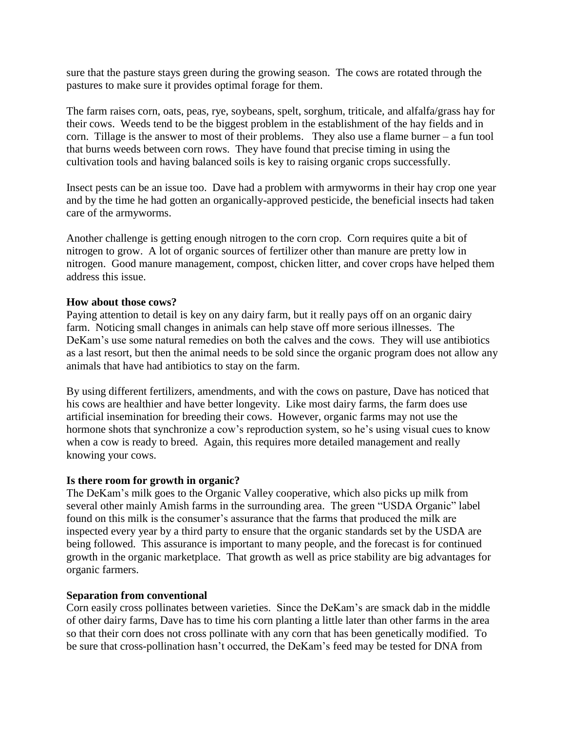sure that the pasture stays green during the growing season. The cows are rotated through the pastures to make sure it provides optimal forage for them.

The farm raises corn, oats, peas, rye, soybeans, spelt, sorghum, triticale, and alfalfa/grass hay for their cows. Weeds tend to be the biggest problem in the establishment of the hay fields and in corn. Tillage is the answer to most of their problems. They also use a flame burner – a fun tool that burns weeds between corn rows. They have found that precise timing in using the cultivation tools and having balanced soils is key to raising organic crops successfully.

Insect pests can be an issue too. Dave had a problem with armyworms in their hay crop one year and by the time he had gotten an organically-approved pesticide, the beneficial insects had taken care of the armyworms.

Another challenge is getting enough nitrogen to the corn crop. Corn requires quite a bit of nitrogen to grow. A lot of organic sources of fertilizer other than manure are pretty low in nitrogen. Good manure management, compost, chicken litter, and cover crops have helped them address this issue.

## **How about those cows?**

Paying attention to detail is key on any dairy farm, but it really pays off on an organic dairy farm. Noticing small changes in animals can help stave off more serious illnesses. The DeKam's use some natural remedies on both the calves and the cows. They will use antibiotics as a last resort, but then the animal needs to be sold since the organic program does not allow any animals that have had antibiotics to stay on the farm.

By using different fertilizers, amendments, and with the cows on pasture, Dave has noticed that his cows are healthier and have better longevity. Like most dairy farms, the farm does use artificial insemination for breeding their cows. However, organic farms may not use the hormone shots that synchronize a cow's reproduction system, so he's using visual cues to know when a cow is ready to breed. Again, this requires more detailed management and really knowing your cows.

#### **Is there room for growth in organic?**

The DeKam's milk goes to the Organic Valley cooperative, which also picks up milk from several other mainly Amish farms in the surrounding area. The green "USDA Organic" label found on this milk is the consumer's assurance that the farms that produced the milk are inspected every year by a third party to ensure that the organic standards set by the USDA are being followed. This assurance is important to many people, and the forecast is for continued growth in the organic marketplace. That growth as well as price stability are big advantages for organic farmers.

#### **Separation from conventional**

Corn easily cross pollinates between varieties. Since the DeKam's are smack dab in the middle of other dairy farms, Dave has to time his corn planting a little later than other farms in the area so that their corn does not cross pollinate with any corn that has been genetically modified. To be sure that cross-pollination hasn't occurred, the DeKam's feed may be tested for DNA from